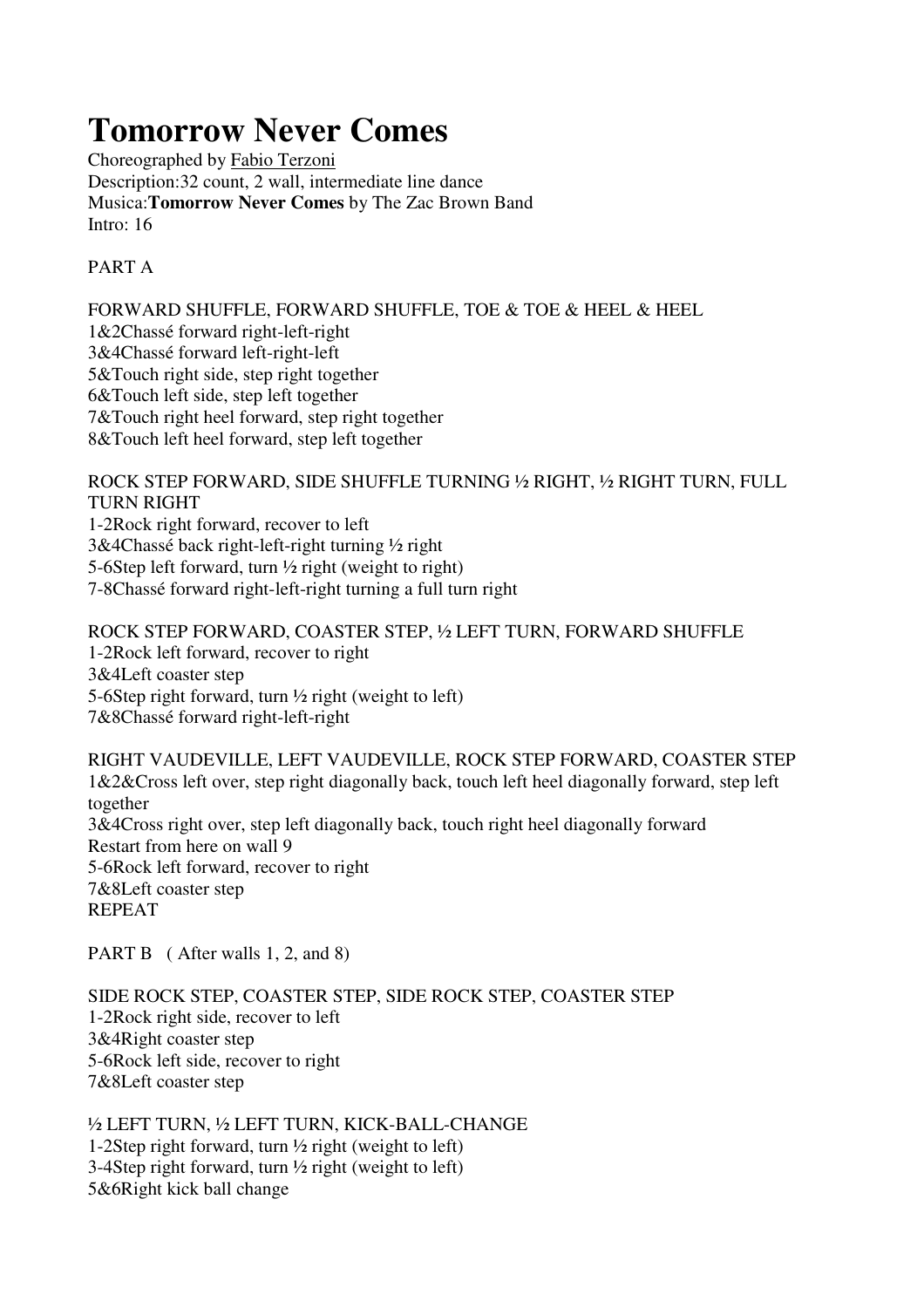## **Tomorrow Never Comes**

Choreographed by Fabio Terzoni Description:32 count, 2 wall, intermediate line dance Musica:**Tomorrow Never Comes** by The Zac Brown Band Intro: 16

## PART A

FORWARD SHUFFLE, FORWARD SHUFFLE, TOE & TOE & HEEL & HEEL 1&2Chassé forward right-left-right 3&4Chassé forward left-right-left 5&Touch right side, step right together 6&Touch left side, step left together 7&Touch right heel forward, step right together 8&Touch left heel forward, step left together

ROCK STEP FORWARD, SIDE SHUFFLE TURNING ½ RIGHT, ½ RIGHT TURN, FULL TURN RIGHT 1-2Rock right forward, recover to left 3&4Chassé back right-left-right turning ½ right 5-6Step left forward, turn ½ right (weight to right)

7-8Chassé forward right-left-right turning a full turn right

ROCK STEP FORWARD, COASTER STEP, ½ LEFT TURN, FORWARD SHUFFLE 1-2Rock left forward, recover to right 3&4Left coaster step 5-6Step right forward, turn ½ right (weight to left) 7&8Chassé forward right-left-right

RIGHT VAUDEVILLE, LEFT VAUDEVILLE, ROCK STEP FORWARD, COASTER STEP 1&2&Cross left over, step right diagonally back, touch left heel diagonally forward, step left together 3&4Cross right over, step left diagonally back, touch right heel diagonally forward Restart from here on wall 9 5-6Rock left forward, recover to right 7&8Left coaster step REPEAT

PART B (After walls 1, 2, and 8)

SIDE ROCK STEP, COASTER STEP, SIDE ROCK STEP, COASTER STEP 1-2Rock right side, recover to left 3&4Right coaster step 5-6Rock left side, recover to right 7&8Left coaster step

½ LEFT TURN, ½ LEFT TURN, KICK-BALL-CHANGE 1-2Step right forward, turn ½ right (weight to left) 3-4Step right forward, turn  $\frac{1}{2}$  right (weight to left) 5&6Right kick ball change